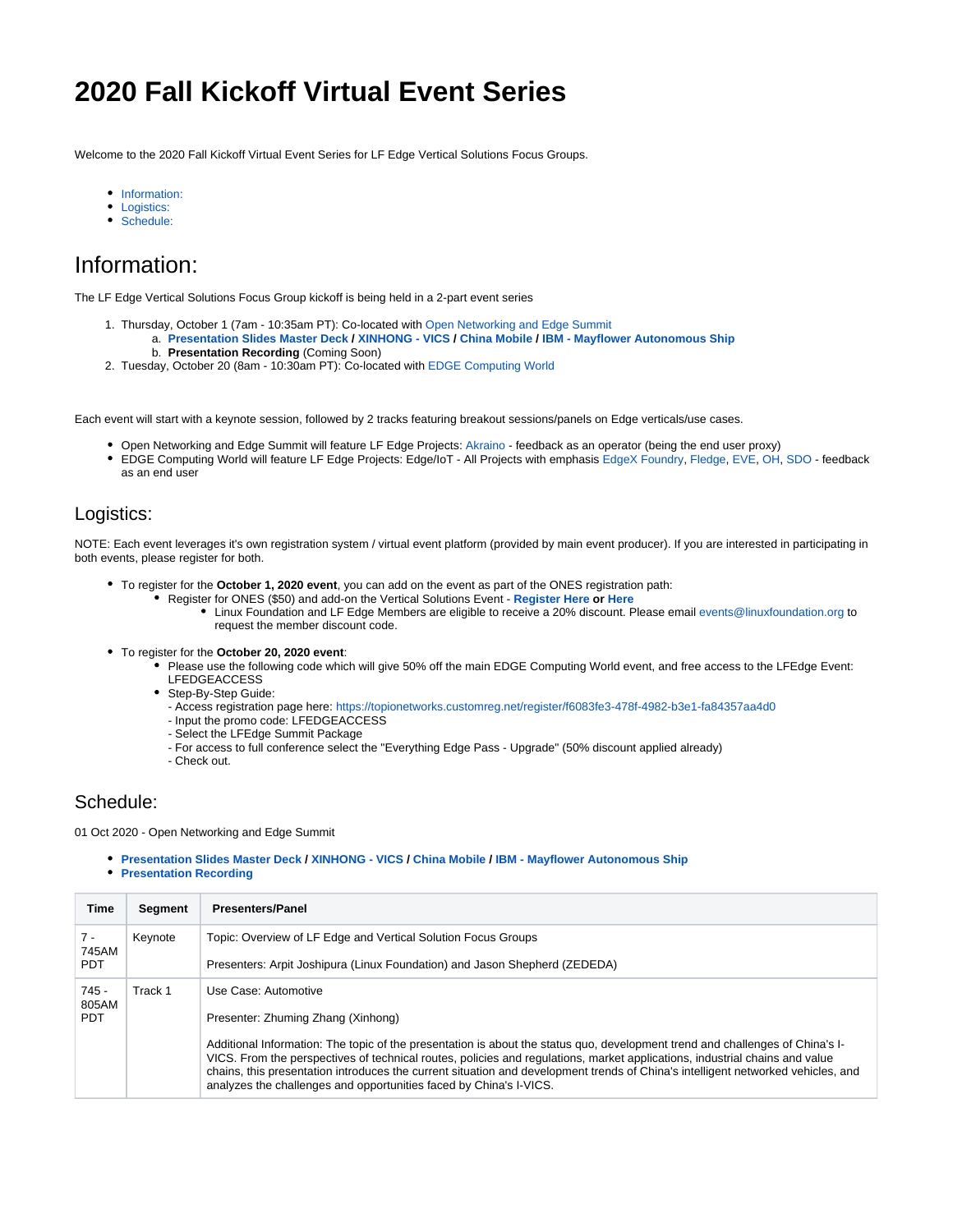# **2020 Fall Kickoff Virtual Event Series**

Welcome to the 2020 Fall Kickoff Virtual Event Series for LF Edge Vertical Solutions Focus Groups.

- [Information:](#page-0-0)
- [Logistics:](#page-0-1)
- [Schedule:](#page-0-2)

## <span id="page-0-0"></span>Information:

The LF Edge Vertical Solutions Focus Group kickoff is being held in a 2-part event series

- 1. Thursday, October 1 (7am 10:35am PT): Co-located with [Open Networking and Edge Summit](https://events.linuxfoundation.org/open-networking-edge-summit-north-america/)
	- a. **[Presentation Slides Master Deck](https://wiki.lfedge.org/download/attachments/29892870/Launching%20the%20LF%20Edge%20End%20User%20Community%20-%20October%201%2C%202020.pdf?version=1&modificationDate=1601574773459&api=v2) / [XINHONG VICS](https://wiki.lfedge.org/download/attachments/29892870/Zhuming%20Zhang-The%20trend%2C%20key%20technologies%20and%20scenarios%20of%20VICS.pdf?version=1&modificationDate=1602216950297&api=v2) / [China Mobile](https://wiki.lfedge.org/download/attachments/29892870/Sharing%20for%20LF%20vertical%20solution%20WG-China%20Mobile.pdf?version=1&modificationDate=1602257943979&api=v2) / [IBM Mayflower Autonomous Ship](https://wiki.lfedge.org/download/attachments/29892870/Mayflower%20LF%20Edge%202020-10-01%20v2_compressed.pdf?version=1&modificationDate=1601576029330&api=v2)** b. **Presentation Recording** (Coming Soon)
- 2. Tuesday, October 20 (8am 10:30am PT): Co-located with [EDGE Computing World](https://www.edgecomputingworld.com/)

Each event will start with a keynote session, followed by 2 tracks featuring breakout sessions/panels on Edge verticals/use cases.

- Open Networking and Edge Summit will feature LF Edge Projects: [Akraino](https://www.lfedge.org/projects/akraino/) feedback as an operator (being the end user proxy)
- EDGE Computing World will feature LF Edge Projects: Edge/IoT All Projects with emphasis [EdgeX Foundry](https://www.lfedge.org/projects/edgexfoundry/), [Fledge,](https://www.lfedge.org/projects/fledge/) [EVE,](https://www.lfedge.org/projects/eve/) [OH](https://www.lfedge.org/projects/openhorizon/), [SDO](https://www.lfedge.org/projects/securedeviceonboard/)  feedback as an end user

#### <span id="page-0-1"></span>Logistics:

NOTE: Each event leverages it's own registration system / virtual event platform (provided by main event producer). If you are interested in participating in both events, please register for both.

- To register for the **October 1, 2020 event**, you can add on the event as part of the ONES registration path:
	- Register for ONES (\$50) and add-on the Vertical Solutions Event **[Register Here](https://events.linuxfoundation.org/open-networking-edge-summit-north-america/features/co-located-events/) or [Here](https://ones2020.sched.com/event/eKUn)**
		- Linux Foundation and LF Edge Members are eligible to receive a 20% discount. Please email [events@linuxfoundation.org](mailto:events@linuxfoundation.org) to request the member discount code.
- To register for the **October 20, 2020 event**:
	- Please use the following code which will give 50% off the main EDGE Computing World event, and free access to the LFEdge Event: LFEDGEACCESS
	- Step-By-Step Guide:
		- Access registration page here: <https://topionetworks.customreg.net/register/f6083fe3-478f-4982-b3e1-fa84357aa4d0>
		- Input the promo code: LFEDGEACCESS
		- Select the LFEdge Summit Package
		- For access to full conference select the "Everything Edge Pass Upgrade" (50% discount applied already)
		- Check out.

### <span id="page-0-2"></span>Schedule:

01 Oct 2020 - Open Networking and Edge Summit

- **[Presentation Slides Master Deck](https://wiki.lfedge.org/download/attachments/29892870/Launching%20the%20LF%20Edge%20End%20User%20Community%20-%20October%201%2C%202020.pdf?version=1&modificationDate=1601574773459&api=v2) / [XINHONG VICS](https://wiki.lfedge.org/download/attachments/29892870/Zhuming%20Zhang-The%20trend%2C%20key%20technologies%20and%20scenarios%20of%20VICS.pdf?version=1&modificationDate=1602216950297&api=v2) / [China Mobile](https://wiki.lfedge.org/download/attachments/29892870/Sharing%20for%20LF%20vertical%20solution%20WG-China%20Mobile.pdf?version=1&modificationDate=1602257943979&api=v2) / [IBM Mayflower Autonomous Ship](https://wiki.lfedge.org/download/attachments/29892870/Mayflower%20LF%20Edge%202020-10-01%20v2_compressed.pdf?version=1&modificationDate=1601576029330&api=v2)**
- **[Presentation Recording](https://youtu.be/z6hn6l5OutI)**

| Time                           | Segment | <b>Presenters/Panel</b>                                                                                                                                                                                                                                                                                                                                                                                                                                                |
|--------------------------------|---------|------------------------------------------------------------------------------------------------------------------------------------------------------------------------------------------------------------------------------------------------------------------------------------------------------------------------------------------------------------------------------------------------------------------------------------------------------------------------|
| $7 -$<br>745AM                 | Keynote | Topic: Overview of LF Edge and Vertical Solution Focus Groups                                                                                                                                                                                                                                                                                                                                                                                                          |
| <b>PDT</b>                     |         | Presenters: Arpit Joshipura (Linux Foundation) and Jason Shepherd (ZEDEDA)                                                                                                                                                                                                                                                                                                                                                                                             |
| $745 -$<br>805AM<br><b>PDT</b> | Track 1 | Use Case: Automotive                                                                                                                                                                                                                                                                                                                                                                                                                                                   |
|                                |         | Presenter: Zhuming Zhang (Xinhong)                                                                                                                                                                                                                                                                                                                                                                                                                                     |
|                                |         | Additional Information: The topic of the presentation is about the status quo, development trend and challenges of China's I-<br>VICS. From the perspectives of technical routes, policies and regulations, market applications, industrial chains and value<br>chains, this presentation introduces the current situation and development trends of China's intelligent networked vehicles, and<br>analyzes the challenges and opportunities faced by China's I-VICS. |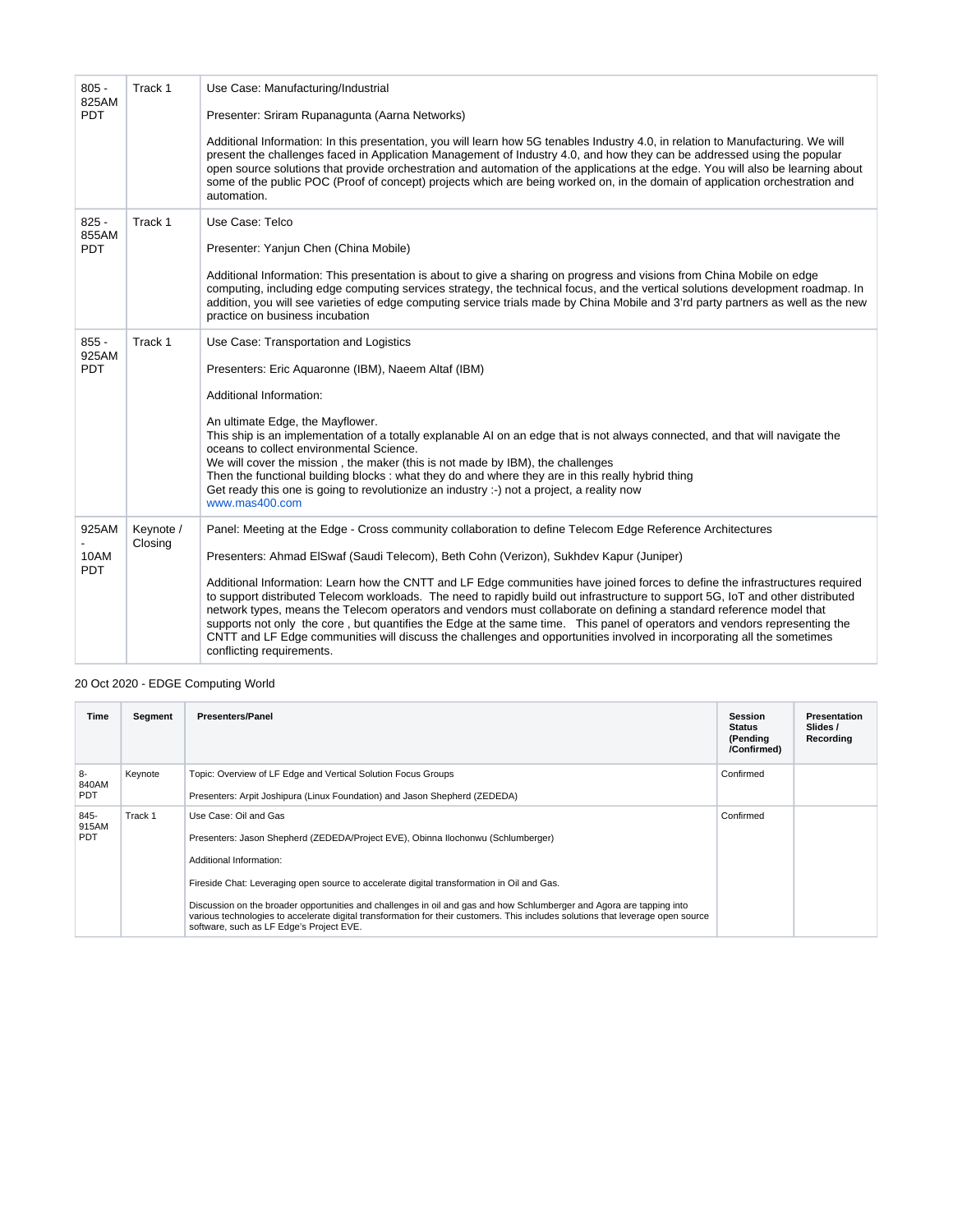| $805 -$<br>825AM               | Track 1              | Use Case: Manufacturing/Industrial                                                                                                                                                                                                                                                                                                                                                                                                                                                                                                                                                                                                                                          |  |  |
|--------------------------------|----------------------|-----------------------------------------------------------------------------------------------------------------------------------------------------------------------------------------------------------------------------------------------------------------------------------------------------------------------------------------------------------------------------------------------------------------------------------------------------------------------------------------------------------------------------------------------------------------------------------------------------------------------------------------------------------------------------|--|--|
| <b>PDT</b>                     |                      | Presenter: Sriram Rupanagunta (Aarna Networks)                                                                                                                                                                                                                                                                                                                                                                                                                                                                                                                                                                                                                              |  |  |
|                                |                      | Additional Information: In this presentation, you will learn how 5G tenables Industry 4.0, in relation to Manufacturing. We will<br>present the challenges faced in Application Management of Industry 4.0, and how they can be addressed using the popular<br>open source solutions that provide orchestration and automation of the applications at the edge. You will also be learning about<br>some of the public POC (Proof of concept) projects which are being worked on, in the domain of application orchestration and<br>automation.                                                                                                                              |  |  |
| $825 -$<br>855AM<br><b>PDT</b> | Track 1              | Use Case: Telco<br>Presenter: Yanjun Chen (China Mobile)                                                                                                                                                                                                                                                                                                                                                                                                                                                                                                                                                                                                                    |  |  |
|                                |                      | Additional Information: This presentation is about to give a sharing on progress and visions from China Mobile on edge<br>computing, including edge computing services strategy, the technical focus, and the vertical solutions development roadmap. In<br>addition, you will see varieties of edge computing service trials made by China Mobile and 3'rd party partners as well as the new<br>practice on business incubation                                                                                                                                                                                                                                            |  |  |
| $855 -$<br>925AM<br><b>PDT</b> | Track 1              | Use Case: Transportation and Logistics                                                                                                                                                                                                                                                                                                                                                                                                                                                                                                                                                                                                                                      |  |  |
|                                |                      | Presenters: Eric Aquaronne (IBM), Naeem Altaf (IBM)                                                                                                                                                                                                                                                                                                                                                                                                                                                                                                                                                                                                                         |  |  |
|                                |                      | Additional Information:                                                                                                                                                                                                                                                                                                                                                                                                                                                                                                                                                                                                                                                     |  |  |
|                                |                      | An ultimate Edge, the Mayflower.<br>This ship is an implementation of a totally explanable AI on an edge that is not always connected, and that will navigate the<br>oceans to collect environmental Science.<br>We will cover the mission, the maker (this is not made by IBM), the challenges<br>Then the functional building blocks: what they do and where they are in this really hybrid thing<br>Get ready this one is going to revolutionize an industry :-) not a project, a reality now<br>www.mas400.com                                                                                                                                                          |  |  |
| 925AM                          | Keynote /<br>Closing | Panel: Meeting at the Edge - Cross community collaboration to define Telecom Edge Reference Architectures                                                                                                                                                                                                                                                                                                                                                                                                                                                                                                                                                                   |  |  |
| 10AM<br><b>PDT</b>             |                      | Presenters: Ahmad ElSwaf (Saudi Telecom), Beth Cohn (Verizon), Sukhdev Kapur (Juniper)                                                                                                                                                                                                                                                                                                                                                                                                                                                                                                                                                                                      |  |  |
|                                |                      | Additional Information: Learn how the CNTT and LF Edge communities have joined forces to define the infrastructures required<br>to support distributed Telecom workloads. The need to rapidly build out infrastructure to support 5G, IoT and other distributed<br>network types, means the Telecom operators and vendors must collaborate on defining a standard reference model that<br>supports not only the core, but quantifies the Edge at the same time. This panel of operators and vendors representing the<br>CNTT and LF Edge communities will discuss the challenges and opportunities involved in incorporating all the sometimes<br>conflicting requirements. |  |  |

#### 20 Oct 2020 - EDGE Computing World

| Time                        | Segment | <b>Presenters/Panel</b>                                                                                                                                                                                                                                                                               | <b>Session</b><br><b>Status</b><br>(Pending<br>/Confirmed) | Presentation<br>Slides /<br>Recording |
|-----------------------------|---------|-------------------------------------------------------------------------------------------------------------------------------------------------------------------------------------------------------------------------------------------------------------------------------------------------------|------------------------------------------------------------|---------------------------------------|
| $8-$<br>840AM<br><b>PDT</b> | Keynote | Topic: Overview of LF Edge and Vertical Solution Focus Groups                                                                                                                                                                                                                                         | Confirmed                                                  |                                       |
|                             |         | Presenters: Arpit Joshipura (Linux Foundation) and Jason Shepherd (ZEDEDA)                                                                                                                                                                                                                            |                                                            |                                       |
| 845-<br>915AM               | Track 1 | Use Case: Oil and Gas                                                                                                                                                                                                                                                                                 | Confirmed                                                  |                                       |
| <b>PDT</b>                  |         | Presenters: Jason Shepherd (ZEDEDA/Project EVE), Obinna Ilochonwu (Schlumberger)                                                                                                                                                                                                                      |                                                            |                                       |
|                             |         | Additional Information:                                                                                                                                                                                                                                                                               |                                                            |                                       |
|                             |         | Fireside Chat: Leveraging open source to accelerate digital transformation in Oil and Gas.                                                                                                                                                                                                            |                                                            |                                       |
|                             |         | Discussion on the broader opportunities and challenges in oil and gas and how Schlumberger and Agora are tapping into<br>various technologies to accelerate digital transformation for their customers. This includes solutions that leverage open source<br>software, such as LF Edge's Project EVE. |                                                            |                                       |